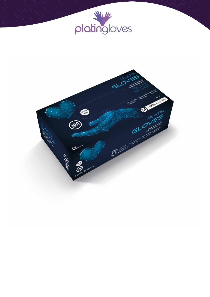

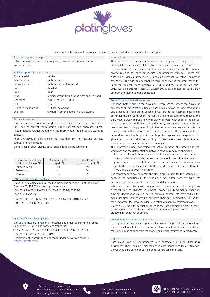

The instruction below should be used in conjunction with detailed information on the packaging.

## **Intended use of the product Intended use of the product Intended use of the product Intended use Intended use**

Nitrile examination and protective gloves, powder-free, non-sterile for disposable use

| Full description of the product |                                                    |  |  |  |  |  |
|---------------------------------|----------------------------------------------------|--|--|--|--|--|
| Raw material                    | : nitrile                                          |  |  |  |  |  |
| External surface                | : polymerized                                      |  |  |  |  |  |
| Internal surface                | : polymerized + chlorinated                        |  |  |  |  |  |
| Cuff                            | · headed                                           |  |  |  |  |  |
| Colour                          | : blue                                             |  |  |  |  |  |
| Shape                           | : ambidextrous, fitting to the right and left hand |  |  |  |  |  |
| Size range                      | : $S(6-7)$ , M $(7-8)$ , L $(8-9)$                 |  |  |  |  |  |
| AQL                             | .15                                                |  |  |  |  |  |
| Quantity in packaging           | : 100pcs. by weight                                |  |  |  |  |  |
| Shelf life                      | : 5 years (from the date of manufacturing)         |  |  |  |  |  |
|                                 |                                                    |  |  |  |  |  |

### Storage instructions

It is recommended to store the gloves in dry place, in the temperature of 5- 30°C and to protect them against direct sunlight and fluorescent light. Recommended relative humidity in the room where the gloves are stored is  $60 + 20%$ 

Keep the gloves in a distance of not less than 1m from heating devices, sources of fire and ozone.

Do not keep in direct vicinity of solvents, oils, fuels and lubricants.

| Extraction conditions<br>(tested for 2 h in 40°C) | Analysis results<br>[mg/dm <sup>2</sup> ] | <b>Test Result</b><br>$\left(\frac{\text{limit}}{210 \text{ mg/dm}^2}\right)$ |
|---------------------------------------------------|-------------------------------------------|-------------------------------------------------------------------------------|
| 3% acetic acid                                    |                                           | Pass                                                                          |
| 10% ethanol                                       |                                           | Pass                                                                          |
| Olive oil                                         |                                           | Pass                                                                          |

MDD classification & compliance

Gloves are classified as class I Medical Device as per Annex IX of the Council Directive 93/42/EEC and comply to standards:

EN455-5, EN455-2, EN455-3, EN455-4, EN374-2, EN374-3 EN374-4, EN374-5,

EN374-1, EN455, EN ISO14001:2015, EN ISO22000:2018, EN ISO 9001:2015, EN ISO 45001:2018

# **PPE classification & compliance** *Components Components Components Components Components Components*

Gloves are category III Personal Protective Equipment as per Annex I of the Regulation 2016/425 and comply to standards:

 EN 455-5 EN455-5, EN455-2, EN455-3, EN455-4, EN374-2, EN374-3 EN374-4, EN374-5,EN374-1, EN455

Declaration of Conformity can be found under below web address: <https://www.platingloves.com/>

These are non-sterile examination and protective gloves for single use, intended for use in medical field to: protect patient and user from crosscontamination, conducting medical examinations, diagnostic and therapeutic procedures and for handling medical contaminated material. Gloves are classified as Medical Devices Class I and as a Personal Protective Equipment category III. Their design and labelling corresponds to the requirements of the European Medical Device Directive 93/42/EEC and the European Regulation 2016/425 on Personal Protective Equipment. Gloves should be used solely according to their intended application.

## Precautions and indications for use

Dry hands before putting the gloves on. Before usage, inspect the gloves for any defect or imperfections. Use at least 1 pair of gloves for one patient and one procedure, these are disposable gloves. Do not let chemical substances get under the gloves through the cuff. If a chemical substance reaches the skin, wash it away immediately with plenty of water with soap. If the gloves get punctured, torn or broken during their use, take them off and put on the new ones. Avoid using gloves dirty in the inside as they may cause irritation leading to skin inflammation or more serious damages. The gloves should not be used in contact with open fire and to protect against any sharp tools. The gloves are not intended for welding, electric shock protection, ionizing radiation or from the effect of hot or cold objects.

This information does not reflect the actual duration of protection in the workplace and the differentiation between mixtures and pure chemicals.

The chemical penetration resistance has been assessed under laboratory conditions from samples taken from the palm only (except in case where glove is equal to or over 400 mm – where the cuff is tested also) and relates only to the chemical tested and to the tested specimen. It can be different if the chemical is used in a mixture.

It is recommended to check that the gloves are suitable for the intended use because the conditions at the workplace may differ from the type test depending on the temperature, abrasion and degradation.

When used, protective gloves may provide less resistance to the dangerous chemical due to changes in physical properties. Movements, snagging, rubbing, degradation caused by the chemical contact etc. may reduce the actual use time significantly. For corrosive chemicals, degradation can be the most important factor to consider in selection of chemical resistant gloves.

Gloves are suitable for special purposes as they are examination gloves where risk of injury to the wrist is considered to be minimal, gloves are shorter than EN 420 min. length requirement.

Some gloves may contain components known to be a possible cause of allergy for person allergic to them, who may develop contact irritation and/or allergic reaction. In case of an allergic reaction, seek medical assistance immediately.

### Disposal

Used gloves can be contaminated with contagious or other hazardous substances. They should be disposed of in accordance with local regulation. Gloves should be buried or burned under controlled conditions.

GÜLDARPI MAHALLESİ HARMANYOLU KÜME EVLERİ NO:29 ÇUBUK/ANKARA

TEL:03123785656 GSM:05454640464

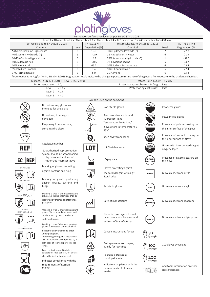# platingloves

| Permeation performance levels as per EN ISO 374-1:2016                                                                                                                                                                            |                                                                            |                                                                              |       |                                                            |                                             |                                |                                                               |                                |  |  |  |
|-----------------------------------------------------------------------------------------------------------------------------------------------------------------------------------------------------------------------------------|----------------------------------------------------------------------------|------------------------------------------------------------------------------|-------|------------------------------------------------------------|---------------------------------------------|--------------------------------|---------------------------------------------------------------|--------------------------------|--|--|--|
| • Level 1 > 10 min • Level 2 > 30 min • Level 3 > 60 min • Level 4 > 120 min • Level 5 > 240 min • Level 6 > 480 min                                                                                                              |                                                                            |                                                                              |       |                                                            |                                             |                                |                                                               |                                |  |  |  |
| Test results acc. to EN 16523-1:2015                                                                                                                                                                                              |                                                                            |                                                                              |       | EN 374-4:2013                                              | Test results acc. to EN 16523-1:2015        |                                |                                                               | EN 374-4:2013                  |  |  |  |
| Chemical                                                                                                                                                                                                                          |                                                                            |                                                                              | Level | Degradation [%]                                            | Chemical                                    |                                | Level                                                         | Degradation [%]                |  |  |  |
| *4% Chlorhexidine Digluconate                                                                                                                                                                                                     |                                                                            |                                                                              | 6     | 19.0                                                       | 30% Hydrogen Peroxide (P)                   |                                |                                                               | 22.8                           |  |  |  |
| 40% Sodium Hydroxide (K)                                                                                                                                                                                                          |                                                                            |                                                                              | 6     | $-42.9$                                                    | 1.5% Methanol in water                      |                                | 6                                                             | 21.9                           |  |  |  |
| 10-13% Sodium Hypochlorite                                                                                                                                                                                                        |                                                                            |                                                                              | 6     | 14.7                                                       | 25% Ammonium Hydroxide (O)                  |                                | $\mathbf{1}$                                                  | $-52.0$                        |  |  |  |
| 50% Sulphuric Acid                                                                                                                                                                                                                |                                                                            |                                                                              | 6     | $-20.5$                                                    | 3% Povidione-iodine                         |                                | 6                                                             | 33.7                           |  |  |  |
| 10% Acetic Acid                                                                                                                                                                                                                   |                                                                            |                                                                              | 4     | 66.7                                                       | 10% Sodium Percarbonate                     |                                | 6                                                             | 15.4                           |  |  |  |
| 5% Ethidium Bromide                                                                                                                                                                                                               |                                                                            |                                                                              | 6     | 3.4                                                        | 50% Glutaraldehyde                          |                                | 6                                                             | 27.4                           |  |  |  |
| 37% Formaldehyde (T)                                                                                                                                                                                                              |                                                                            |                                                                              | 3     | 5.0                                                        | 0.1% Phenol                                 |                                | 6                                                             | 33.8                           |  |  |  |
|                                                                                                                                                                                                                                   |                                                                            |                                                                              |       |                                                            |                                             |                                |                                                               |                                |  |  |  |
| *Permeation rate 7µg/cm <sup>2</sup> /min, EN 374-4:2013 Degradation levels indicate the change in puncture resistance of the gloves after exposure to the challenge chemical.<br>Test acc. To EN 374-2:2014 - Level 2 (ISO 2859) |                                                                            |                                                                              |       |                                                            |                                             |                                |                                                               |                                |  |  |  |
|                                                                                                                                                                                                                                   |                                                                            |                                                                              |       |                                                            | Test acc. To EN ISO 374---5:2016            |                                |                                                               |                                |  |  |  |
| Performance level<br>AQL                                                                                                                                                                                                          |                                                                            |                                                                              |       |                                                            | Protection against bacteria & fungi         |                                | Pass<br>Pass                                                  |                                |  |  |  |
|                                                                                                                                                                                                                                   | Level 3<br>Level 2                                                         | < 0.65<br>< 1.5                                                              |       |                                                            | Protection against viruses                  |                                |                                                               |                                |  |  |  |
|                                                                                                                                                                                                                                   | Level 1                                                                    | < 4.0                                                                        |       |                                                            |                                             |                                |                                                               |                                |  |  |  |
|                                                                                                                                                                                                                                   |                                                                            |                                                                              |       |                                                            |                                             |                                |                                                               |                                |  |  |  |
|                                                                                                                                                                                                                                   |                                                                            |                                                                              |       |                                                            | Symbols used on the packaging               |                                |                                                               |                                |  |  |  |
|                                                                                                                                                                                                                                   | intended for single use                                                    | Do not re-use / gloves are                                                   |       | Non-sterile gloves<br>STERILE                              |                                             |                                | Powdered gloves                                               |                                |  |  |  |
|                                                                                                                                                                                                                                   |                                                                            |                                                                              |       |                                                            |                                             |                                |                                                               |                                |  |  |  |
|                                                                                                                                                                                                                                   | Do not use, if package is                                                  |                                                                              |       |                                                            | Keep away from solar and                    |                                | Powder free gloves                                            |                                |  |  |  |
|                                                                                                                                                                                                                                   | damaged                                                                    |                                                                              |       |                                                            | fluorescent light                           |                                |                                                               |                                |  |  |  |
|                                                                                                                                                                                                                                   |                                                                            | Keep away from moisture,                                                     |       |                                                            | Temperature limitation /                    |                                |                                                               | Presence of polymer coating on |  |  |  |
|                                                                                                                                                                                                                                   | store in a dry place                                                       |                                                                              |       |                                                            | gloves store in temperature 5-              | POLYMER<br>COATED              |                                                               |                                |  |  |  |
|                                                                                                                                                                                                                                   |                                                                            |                                                                              |       |                                                            | $35^{\circ}$ C                              |                                | the inner surface of the glove                                |                                |  |  |  |
| <b>LATEX</b>                                                                                                                                                                                                                      |                                                                            |                                                                              |       |                                                            | Keep away from ozone                        | <b>COSMET</b><br>COATIN        | Presence of cosmetic coating on<br>the inner surface of glove |                                |  |  |  |
|                                                                                                                                                                                                                                   | Catalogue number                                                           |                                                                              |       | SINGLET<br>OXYGEN<br>Lot / batch number<br>10 <sub>2</sub> |                                             |                                | Gloves with incorporated singlet                              |                                |  |  |  |
| REF<br>EU Authorized Representative,<br>symbol should be accompanied                                                                                                                                                              |                                                                            |                                                                              |       |                                                            |                                             | oxygene layer.                 |                                                               |                                |  |  |  |
| <b>REP</b><br>EC                                                                                                                                                                                                                  | by name and address of<br>Authorized Representative                        |                                                                              |       |                                                            | Expiry date                                 | <b>TEXTURED</b><br>mm          | Presence of external texture on<br>the glove                  |                                |  |  |  |
| ISO 374-5:2016                                                                                                                                                                                                                    |                                                                            | Marking of gloves protecting                                                 |       |                                                            | Gloves protecting against                   |                                |                                                               |                                |  |  |  |
|                                                                                                                                                                                                                                   | against bacteria and fungi.                                                |                                                                              |       |                                                            | chemical dangers with digit<br>literal odes | <b>NITRYL</b>                  | Gloves made from nitrile                                      |                                |  |  |  |
|                                                                                                                                                                                                                                   |                                                                            | Marking of gloves protecting                                                 |       |                                                            |                                             |                                |                                                               |                                |  |  |  |
|                                                                                                                                                                                                                                   |                                                                            | against viruses, bacteria and                                                |       |                                                            |                                             |                                |                                                               |                                |  |  |  |
|                                                                                                                                                                                                                                   | fungi.                                                                     |                                                                              |       |                                                            | Antistatic gloves                           | <b>VINYL</b>                   |                                                               | Gloves made from vinyl         |  |  |  |
| <b>VIRUS</b><br>ISO 374-1:2016/Type A                                                                                                                                                                                             |                                                                            | Marking o type A chemical resistant<br>gloves. Six tested chemicals shall be |       |                                                            |                                             |                                |                                                               |                                |  |  |  |
|                                                                                                                                                                                                                                   | identified by their code letter under<br>pictogram.                        |                                                                              |       |                                                            | Date of manufacture                         | <b>NEOPREM</b>                 |                                                               | Gloves made from neoprene      |  |  |  |
| <b>UVWXYZ</b>                                                                                                                                                                                                                     |                                                                            | Marking o type B chemical resistant                                          |       |                                                            |                                             |                                |                                                               |                                |  |  |  |
| ISO 374-1:2016/Type B                                                                                                                                                                                                             |                                                                            | gloves. Three tested chemicals shall                                         |       |                                                            | Manufacturer, symbol should                 |                                |                                                               |                                |  |  |  |
|                                                                                                                                                                                                                                   | be identified by their code letter                                         |                                                                              |       |                                                            | be accompanied by name and                  |                                | Gloves made from polyisoprene                                 |                                |  |  |  |
|                                                                                                                                                                                                                                   | under pictogram.                                                           |                                                                              |       |                                                            | address of Manufacturer                     | <b>OLIIZOPREN</b>              |                                                               |                                |  |  |  |
| XY7.<br>ISO 374-1:2016/Type C                                                                                                                                                                                                     | Marking o type C chemical resistant<br>gloves. One tested chemicals shall  |                                                                              |       |                                                            |                                             |                                |                                                               |                                |  |  |  |
|                                                                                                                                                                                                                                   | be identified by their code letter                                         |                                                                              |       |                                                            | Consult instructions for use                | 5Ο                             |                                                               |                                |  |  |  |
|                                                                                                                                                                                                                                   | under pictogram.<br>Protective glove against mechanical                    |                                                                              |       |                                                            |                                             | by weight                      |                                                               |                                |  |  |  |
|                                                                                                                                                                                                                                   | risk (if applicable accompanied by 4<br>digit code of relevant performance |                                                                              |       |                                                            | Package made from paper,                    |                                |                                                               |                                |  |  |  |
|                                                                                                                                                                                                                                   | levels)                                                                    |                                                                              |       |                                                            | qualify for recycling                       | 100<br>by weight               |                                                               | 100 gloves by weight           |  |  |  |
| Food contact symbol (article is<br>suitable for food contact, for details                                                                                                                                                         |                                                                            |                                                                              |       |                                                            |                                             |                                |                                                               |                                |  |  |  |
|                                                                                                                                                                                                                                   | check the instruction for use)                                             |                                                                              |       |                                                            | Package is treated as                       |                                |                                                               |                                |  |  |  |
|                                                                                                                                                                                                                                   |                                                                            |                                                                              |       |                                                            |                                             |                                | 200<br>municipal waste                                        |                                |  |  |  |
|                                                                                                                                                                                                                                   | Indicates compliance with the                                              |                                                                              |       |                                                            |                                             | by weight                      |                                                               |                                |  |  |  |
| requirements of Russian<br>market                                                                                                                                                                                                 |                                                                            |                                                                              |       | Indicates compliance with the                              |                                             | Additonal information on inner |                                                               |                                |  |  |  |
|                                                                                                                                                                                                                                   |                                                                            |                                                                              |       |                                                            | requirements of Ukrainian<br>market         |                                | side of package                                               |                                |  |  |  |
|                                                                                                                                                                                                                                   |                                                                            |                                                                              |       |                                                            |                                             |                                |                                                               |                                |  |  |  |
|                                                                                                                                                                                                                                   |                                                                            |                                                                              |       |                                                            |                                             |                                |                                                               |                                |  |  |  |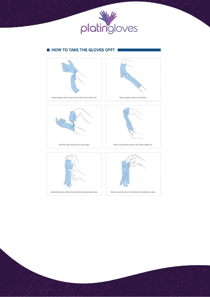

# **EN HOW TO TAKE THE GLOVES OFF?**